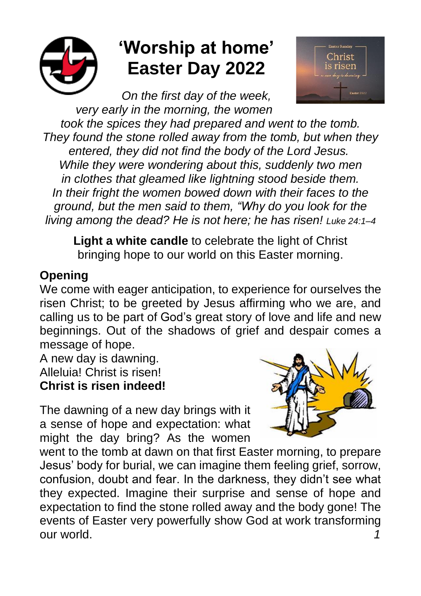

# **'Worship at home' Easter Day 2022**

*On the first day of the week, very early in the morning, the women*



*took the spices they had prepared and went to the tomb. They found the stone rolled away from the tomb, but when they entered, they did not find the body of the Lord Jesus. While they were wondering about this, suddenly two men in clothes that gleamed like lightning stood beside them. In their fright the women bowed down with their faces to the ground, but the men said to them, "Why do you look for the living among the dead? He is not here; he has risen! Luke 24:1–4*

**Light a white candle** to celebrate the light of Christ bringing hope to our world on this Easter morning.

# **Opening**

We come with eager anticipation, to experience for ourselves the risen Christ; to be greeted by Jesus affirming who we are, and calling us to be part of God's great story of love and life and new beginnings. Out of the shadows of grief and despair comes a message of hope.

A new day is dawning. Alleluia! Christ is risen! **Christ is risen indeed!**

The dawning of a new day brings with it a sense of hope and expectation: what might the day bring? As the women



went to the tomb at dawn on that first Easter morning, to prepare Jesus' body for burial, we can imagine them feeling grief, sorrow, confusion, doubt and fear. In the darkness, they didn't see what they expected. Imagine their surprise and sense of hope and expectation to find the stone rolled away and the body gone! The events of Easter very powerfully show God at work transforming our world. *1*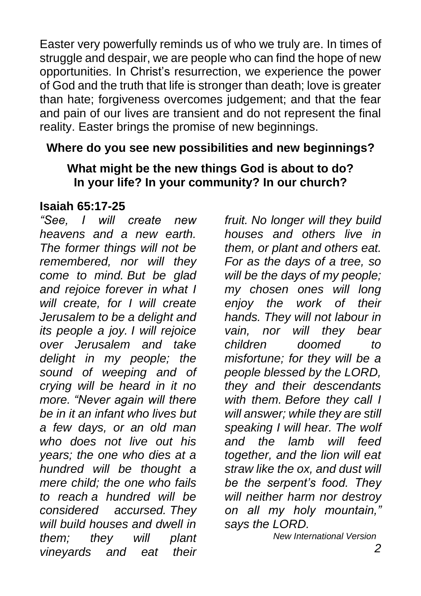Easter very powerfully reminds us of who we truly are. In times of struggle and despair, we are people who can find the hope of new opportunities. In Christ's resurrection, we experience the power of God and the truth that life is stronger than death; love is greater than hate; forgiveness overcomes judgement; and that the fear and pain of our lives are transient and do not represent the final reality. Easter brings the promise of new beginnings.

## **Where do you see new possibilities and new beginnings?**

#### **What might be the new things God is about to do? In your life? In your community? In our church?**

#### **Isaiah 65:17-25**

*"See, I will create new heavens and a new earth. The former things will not be remembered, nor will they come to mind. But be glad and rejoice forever in what I will create, for I will create Jerusalem to be a delight and its people a joy. I will rejoice over Jerusalem and take delight in my people; the sound of weeping and of crying will be heard in it no more. "Never again will there be in it an infant who lives but a few days, or an old man who does not live out his years; the one who dies at a hundred will be thought a mere child; the one who fails to reach a hundred will be considered accursed. They will build houses and dwell in them; they will plant vineyards and eat their*  *fruit. No longer will they build houses and others live in them, or plant and others eat. For as the days of a tree, so will be the days of my people; my chosen ones will long enjoy the work of their hands. They will not labour in vain, nor will they bear children doomed to misfortune; for they will be a people blessed by the LORD, they and their descendants with them. Before they call I will answer; while they are still speaking I will hear. The wolf and the lamb will feed together, and the lion will eat straw like the ox, and dust will be the serpent's food. They will neither harm nor destroy on all my holy mountain," says the LORD.* 

*New International Version*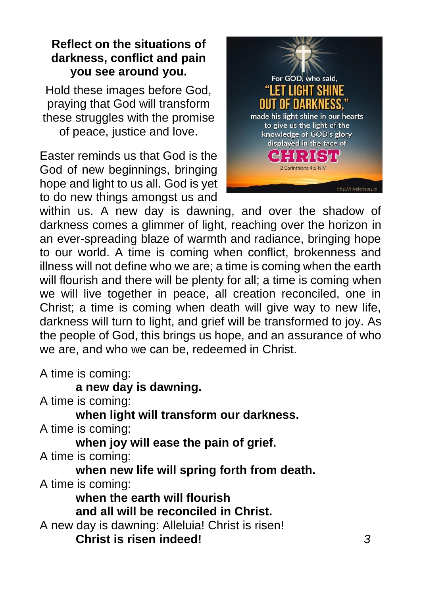#### **Reflect on the situations of darkness, conflict and pain you see around you.**

Hold these images before God, praying that God will transform these struggles with the promise of peace, justice and love.

Easter reminds us that God is the God of new beginnings, bringing hope and light to us all. God is yet to do new things amongst us and



within us. A new day is dawning, and over the shadow of darkness comes a glimmer of light, reaching over the horizon in an ever-spreading blaze of warmth and radiance, bringing hope to our world. A time is coming when conflict, brokenness and illness will not define who we are; a time is coming when the earth will flourish and there will be plenty for all; a time is coming when we will live together in peace, all creation reconciled, one in Christ; a time is coming when death will give way to new life, darkness will turn to light, and grief will be transformed to joy. As the people of God, this brings us hope, and an assurance of who we are, and who we can be, redeemed in Christ.

A time is coming:

**a new day is dawning.**

A time is coming:

**when light will transform our darkness.**

A time is coming:

**when joy will ease the pain of grief.**

A time is coming:

**when new life will spring forth from death.** A time is coming:

**when the earth will flourish and all will be reconciled in Christ.**

A new day is dawning: Alleluia! Christ is risen! **Christ is risen indeed!** *3*